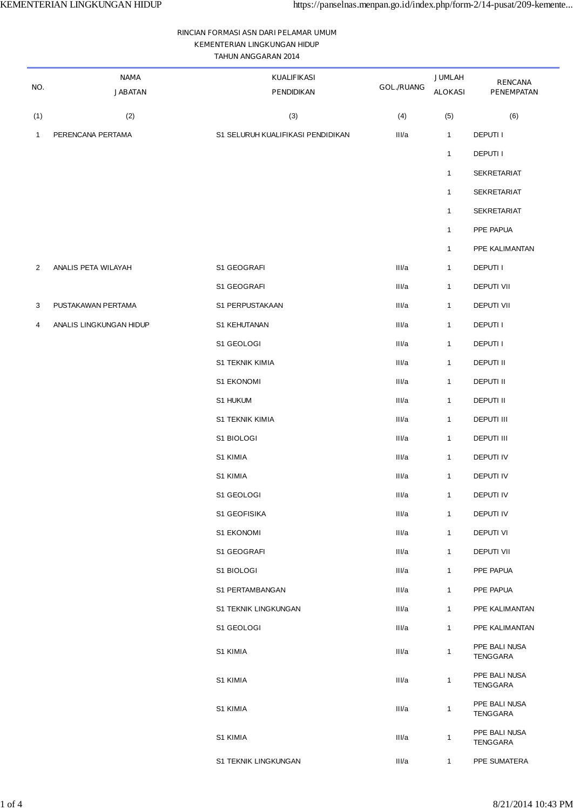## **RINCIAN FORMASI ASN DARI PELAMAR UMUM KEMENTERIAN LINGKUNGAN HIDUP TAHUN ANGGARAN 2014**

| NO.            | <b>NAMA</b><br><b>JABATAN</b> | <b>KUALIFIKASI</b><br><b>PENDIDIKAN</b> | <b>GOL./RUANG</b> | <b>JUMLAH</b><br><b>ALOKASI</b> | <b>RENCANA</b><br><b>PENEMPATAN</b> |
|----------------|-------------------------------|-----------------------------------------|-------------------|---------------------------------|-------------------------------------|
| (1)            | (2)                           | (3)                                     | (4)               | (5)                             | (6)                                 |
| $\mathbf{1}$   | PERENCANA PERTAMA             | S1 SELURUH KUALIFIKASI PENDIDIKAN       | III/a             | $\mathbf{1}$                    | DEPUTI I                            |
|                |                               |                                         |                   | $\mathbf{1}$                    | <b>DEPUTII</b>                      |
|                |                               |                                         |                   | $\mathbf{1}$                    | <b>SEKRETARIAT</b>                  |
|                |                               |                                         |                   | $\mathbf{1}$                    | SEKRETARIAT                         |
|                |                               |                                         |                   | $\mathbf{1}$                    | <b>SEKRETARIAT</b>                  |
|                |                               |                                         |                   | $\mathbf{1}$                    | PPE PAPUA                           |
|                |                               |                                         |                   | $\mathbf{1}$                    | PPE KALIMANTAN                      |
| $\overline{2}$ | ANALIS PETA WILAYAH           | S1 GEOGRAFI                             | III/a             | $\mathbf{1}$                    | DEPUTI I                            |
|                |                               | S1 GEOGRAFI                             | III/a             | $\mathbf{1}$                    | <b>DEPUTI VII</b>                   |
| 3              | PUSTAKAWAN PERTAMA            | S1 PERPUSTAKAAN                         | III/a             | $\mathbf{1}$                    | <b>DEPUTI VII</b>                   |
| 4              | ANALIS LINGKUNGAN HIDUP       | S1 KEHUTANAN                            | III/a             | $\mathbf{1}$                    | <b>DEPUTII</b>                      |
|                |                               | S1 GEOLOGI                              | III/a             | $\mathbf{1}$                    | <b>DEPUTII</b>                      |
|                |                               | S1 TEKNIK KIMIA                         | III/a             | $\mathbf 1$                     | DEPUTI II                           |
|                |                               | S1 EKONOMI                              | III/a             | $\mathbf{1}$                    | DEPUTI II                           |
|                |                               | S1 HUKUM                                | III/a             | $\mathbf{1}$                    | <b>DEPUTI II</b>                    |
|                |                               | S1 TEKNIK KIMIA                         | III/a             | $\mathbf{1}$                    | <b>DEPUTI III</b>                   |
|                |                               | S1 BIOLOGI                              | III/a             | $\mathbf{1}$                    | <b>DEPUTI III</b>                   |
|                |                               | S1 KIMIA                                | III/a             | $\mathbf{1}$                    | DEPUTI IV                           |
|                |                               | S1 KIMIA                                | III/a             | $\mathbf{1}$                    | <b>DEPUTI IV</b>                    |
|                |                               | S1 GEOLOGI                              | III/a             | $\mathbf{1}$                    | DEPUTI IV                           |
|                |                               | S1 GEOFISIKA                            | III/a             | $\mathbf{1}$                    | <b>DEPUTI IV</b>                    |
|                |                               | S1 EKONOMI                              | III/a             | $\overline{1}$                  | <b>DEPUTI VI</b>                    |
|                |                               | S1 GEOGRAFI                             | III/a             | $\mathbf{1}$                    | <b>DEPUTI VII</b>                   |
|                |                               | S1 BIOLOGI                              | III/a             | $\overline{1}$                  | PPE PAPUA                           |
|                |                               | S1 PERTAMBANGAN                         | III/a             | $\mathbf{1}$                    | PPE PAPUA                           |
|                |                               | S1 TEKNIK LINGKUNGAN                    | III/a             | $\mathbf{1}$                    | PPE KALIMANTAN                      |
|                |                               | S1 GEOLOGI                              | III/a             | $\overline{1}$                  | PPE KALIMANTAN                      |
|                |                               | S1 KIMIA                                | III/a             | $\mathbf{1}$                    | PPE BALI NUSA<br>TENGGARA           |
|                |                               | S1 KIMIA                                | III/a             | $\mathbf{1}$                    | PPE BALI NUSA<br>TENGGARA           |
|                |                               | S1 KIMIA                                | III/a             | $\mathbf{1}$                    | PPE BALI NUSA<br>TENGGARA           |
|                |                               | S1 KIMIA                                | III/a             | $\mathbf{1}$                    | PPE BALI NUSA<br>TENGGARA           |
|                |                               | S1 TEKNIK LINGKUNGAN                    | III/a             | $\mathbf{1}$                    | PPE SUMATERA                        |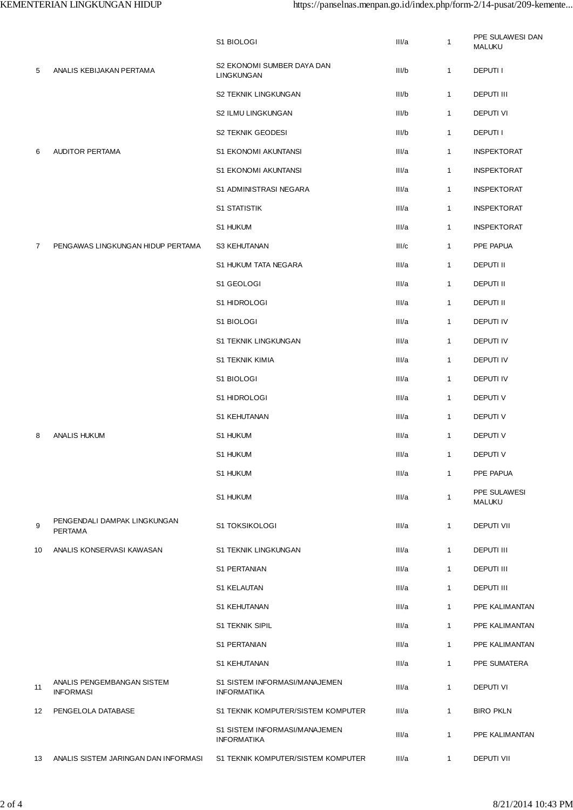|                   |                                                | S1 BIOLOGI                                          | III/a | $\mathbf{1}$ | PPE SULAWESI DAN<br><b>MALUKU</b> |
|-------------------|------------------------------------------------|-----------------------------------------------------|-------|--------------|-----------------------------------|
| 5                 | ANALIS KEBIJAKAN PERTAMA                       | S2 EKONOMI SUMBER DAYA DAN<br>LINGKUNGAN            | II/b  | $\mathbf{1}$ | <b>DEPUTII</b>                    |
|                   |                                                | S2 TEKNIK LINGKUNGAN                                | II/b  | $\mathbf{1}$ | <b>DEPUTI III</b>                 |
|                   |                                                | S2 ILMU LINGKUNGAN                                  | II/b  | $\mathbf{1}$ | DEPUTI VI                         |
|                   |                                                | S2 TEKNIK GEODESI                                   | III/b | $\mathbf{1}$ | <b>DEPUTII</b>                    |
| 6                 | <b>AUDITOR PERTAMA</b>                         | S1 EKONOMI AKUNTANSI                                | III/a | $\mathbf{1}$ | <b>INSPEKTORAT</b>                |
|                   |                                                | S1 EKONOMI AKUNTANSI                                | III/a | $\mathbf{1}$ | <b>INSPEKTORAT</b>                |
|                   |                                                | S1 ADMINISTRASI NEGARA                              | III/a | $\mathbf{1}$ | <b>INSPEKTORAT</b>                |
|                   |                                                | <b>S1 STATISTIK</b>                                 | III/a | $\mathbf{1}$ | <b>INSPEKTORAT</b>                |
|                   |                                                | S1 HUKUM                                            | III/a | $\mathbf{1}$ | <b>INSPEKTORAT</b>                |
| $\overline{7}$    | PENGAWAS LINGKUNGAN HIDUP PERTAMA              | S3 KEHUTANAN                                        | III/c | $\mathbf{1}$ | PPE PAPUA                         |
|                   |                                                | S1 HUKUM TATA NEGARA                                | III/a | $\mathbf{1}$ | DEPUTI II                         |
|                   |                                                | S1 GEOLOGI                                          | III/a | $\mathbf{1}$ | <b>DEPUTI II</b>                  |
|                   |                                                | S1 HIDROLOGI                                        | III/a | $\mathbf{1}$ | <b>DEPUTI II</b>                  |
|                   |                                                | S1 BIOLOGI                                          | III/a | $\mathbf{1}$ | DEPUTI IV                         |
|                   |                                                | S1 TEKNIK LINGKUNGAN                                | III/a | 1            | DEPUTI IV                         |
|                   |                                                | <b>S1 TEKNIK KIMIA</b>                              | III/a | $\mathbf{1}$ | DEPUTI IV                         |
|                   |                                                | S1 BIOLOGI                                          | III/a | $\mathbf{1}$ | DEPUTI IV                         |
|                   |                                                | S1 HIDROLOGI                                        | III/a | 1            | DEPUTI V                          |
|                   |                                                | S1 KEHUTANAN                                        | III/a | $\mathbf{1}$ | <b>DEPUTIV</b>                    |
| 8                 | <b>ANALIS HUKUM</b>                            | S1 HUKUM                                            | III/a | $\mathbf{1}$ | <b>DEPUTIV</b>                    |
|                   |                                                | S1 HUKUM                                            | III/a | $\mathbf{1}$ | <b>DEPUTIV</b>                    |
|                   |                                                | S1 HUKUM                                            | III/a | $\mathbf{1}$ | PPE PAPUA                         |
|                   |                                                | S1 HUKUM                                            | III/a | $\mathbf{1}$ | PPE SULAWESI<br><b>MALUKU</b>     |
| 9                 | PENGENDALI DAMPAK LINGKUNGAN<br><b>PERTAMA</b> | <b>S1 TOKSIKOLOGI</b>                               | III/a | $\mathbf{1}$ | DEPUTI VII                        |
| 10                | ANALIS KONSERVASI KAWASAN                      | S1 TEKNIK LINGKUNGAN                                | II/a  | $\mathbf{1}$ | <b>DEPUTI III</b>                 |
|                   |                                                | S1 PERTANIAN                                        | III/a | $\mathbf{1}$ | <b>DEPUTI III</b>                 |
|                   |                                                | S1 KELAUTAN                                         | III/a | $\mathbf{1}$ | <b>DEPUTI III</b>                 |
|                   |                                                | S1 KEHUTANAN                                        | III/a | $\mathbf{1}$ | PPE KALIMANTAN                    |
|                   |                                                | <b>S1 TEKNIK SIPIL</b>                              | III/a | $\mathbf{1}$ | PPE KALIMANTAN                    |
|                   |                                                | S1 PERTANIAN                                        | III/a | $\mathbf{1}$ | PPE KALIMANTAN                    |
|                   |                                                | S1 KEHUTANAN                                        | II/a  | $\mathbf{1}$ | PPE SUMATERA                      |
| 11                | ANALIS PENGEMBANGAN SISTEM<br><b>INFORMASI</b> | S1 SISTEM INFORMASI/MANAJEMEN<br><b>INFORMATIKA</b> | III/a | $\mathbf{1}$ | DEPUTI VI                         |
| $12 \overline{ }$ | PENGELOLA DATABASE                             | S1 TEKNIK KOMPUTER/SISTEM KOMPUTER                  | II/a  | $\mathbf{1}$ | <b>BIRO PKLN</b>                  |
|                   |                                                | S1 SISTEM INFORMASI/MANAJEMEN<br><b>INFORMATIKA</b> | III/a | $\mathbf{1}$ | PPE KALIMANTAN                    |
| 13                | ANALIS SISTEM JARINGAN DAN INFORMASI           | S1 TEKNIK KOMPUTER/SISTEM KOMPUTER                  | II/a  | $\mathbf{1}$ | <b>DEPUTI VII</b>                 |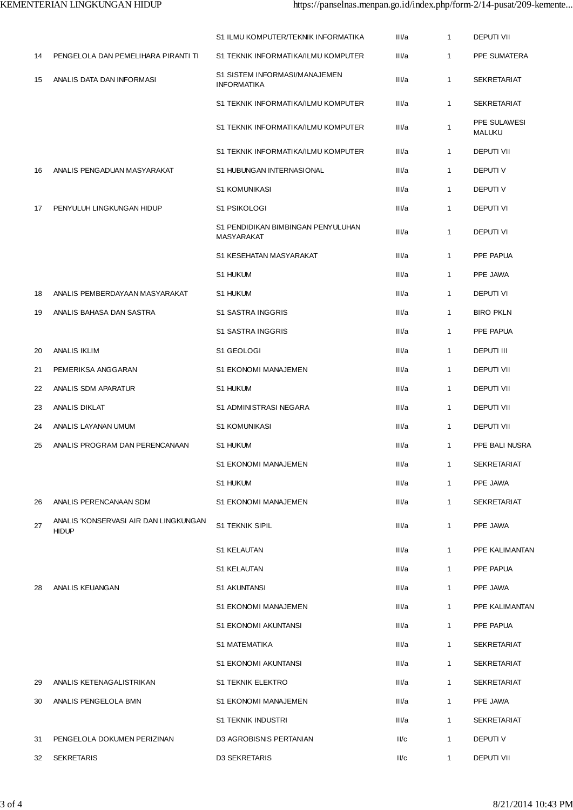|    |                                                       | S1 ILMU KOMPUTER/TEKNIK INFORMATIKA                 | II/a  | $\mathbf{1}$ | <b>DEPUTI VII</b>             |
|----|-------------------------------------------------------|-----------------------------------------------------|-------|--------------|-------------------------------|
| 14 | PENGELOLA DAN PEMELIHARA PIRANTI TI                   | S1 TEKNIK INFORMATIKA/ILMU KOMPUTER                 | II/a  | $\mathbf{1}$ | PPE SUMATERA                  |
| 15 | ANALIS DATA DAN INFORMASI                             | S1 SISTEM INFORMASI/MANAJEMEN<br><b>INFORMATIKA</b> | II/a  | $\mathbf{1}$ | <b>SEKRETARIAT</b>            |
|    |                                                       | S1 TEKNIK INFORMATIKA/ILMU KOMPUTER                 | II/a  | $\mathbf{1}$ | <b>SEKRETARIAT</b>            |
|    |                                                       | S1 TEKNIK INFORMATIKA/ILMU KOMPUTER                 | II/a  | $\mathbf{1}$ | PPE SULAWESI<br><b>MALUKU</b> |
|    |                                                       | S1 TEKNIK INFORMATIKA/ILMU KOMPUTER                 | III/a | $\mathbf{1}$ | DEPUTI VII                    |
| 16 | ANALIS PENGADUAN MASYARAKAT                           | S1 HUBUNGAN INTERNASIONAL                           | II/a  | $\mathbf{1}$ | DEPUTI V                      |
|    |                                                       | <b>S1 KOMUNIKASI</b>                                | III/a | $\mathbf{1}$ | DEPUTI V                      |
| 17 | PENYULUH LINGKUNGAN HIDUP                             | S1 PSIKOLOGI                                        | II/a  | $\mathbf{1}$ | <b>DEPUTI VI</b>              |
|    |                                                       | S1 PENDIDIKAN BIMBINGAN PENYULUHAN<br>MASYARAKAT    | III/a | $\mathbf{1}$ | DEPUTI VI                     |
|    |                                                       | S1 KESEHATAN MASYARAKAT                             | III/a | $\mathbf{1}$ | PPE PAPUA                     |
|    |                                                       | S1 HUKUM                                            | II/a  | $\mathbf{1}$ | PPE JAWA                      |
| 18 | ANALIS PEMBERDAYAAN MASYARAKAT                        | S1 HUKUM                                            | III/a | $\mathbf{1}$ | <b>DEPUTI VI</b>              |
| 19 | ANALIS BAHASA DAN SASTRA                              | S1 SASTRA INGGRIS                                   | III/a | $\mathbf{1}$ | <b>BIRO PKLN</b>              |
|    |                                                       | S1 SASTRA INGGRIS                                   | III/a | $\mathbf{1}$ | PPE PAPUA                     |
| 20 | <b>ANALIS IKLIM</b>                                   | S1 GEOLOGI                                          | III/a | $\mathbf{1}$ | <b>DEPUTI III</b>             |
| 21 | PEMERIKSA ANGGARAN                                    | S1 EKONOMI MANAJEMEN                                | III/a | $\mathbf{1}$ | DEPUTI VII                    |
| 22 | ANALIS SDM APARATUR                                   | S1 HUKUM                                            | III/a | $\mathbf{1}$ | DEPUTI VII                    |
| 23 | ANALIS DIKLAT                                         | S1 ADMINISTRASI NEGARA                              | III/a | $\mathbf{1}$ | DEPUTI VII                    |
| 24 | ANALIS LAYANAN UMUM                                   | <b>S1 KOMUNIKASI</b>                                | III/a | $\mathbf{1}$ | <b>DEPUTI VII</b>             |
| 25 | ANALIS PROGRAM DAN PERENCANAAN                        | S1 HUKUM                                            | II/a  | $\mathbf{1}$ | PPE BALI NUSRA                |
|    |                                                       | S1 EKONOMI MANAJEMEN                                | III/a |              | <b>SEKRETARIAT</b>            |
|    |                                                       | S1 HUKUM                                            | III/a | $\mathbf{1}$ | PPE JAWA                      |
| 26 | ANALIS PERENCANAAN SDM                                | S1 EKONOMI MANAJEMEN                                | III/a | $\mathbf{1}$ | <b>SEKRETARIAT</b>            |
| 27 | ANALIS 'KONSERVASI AIR DAN LINGKUNGAN<br><b>HIDUP</b> | S1 TEKNIK SIPIL                                     | III/a | $\mathbf{1}$ | PPE JAWA                      |
|    |                                                       | S1 KELAUTAN                                         | III/a | $\mathbf{1}$ | PPE KALIMANTAN                |
|    |                                                       | S1 KELAUTAN                                         | III/a | $\mathbf{1}$ | PPE PAPUA                     |
| 28 | ANALIS KEUANGAN                                       | S1 AKUNTANSI                                        | III/a | $\mathbf{1}$ | PPE JAWA                      |
|    |                                                       | S1 EKONOMI MANAJEMEN                                | III/a | $\mathbf{1}$ | PPE KALIMANTAN                |
|    |                                                       | S1 EKONOMI AKUNTANSI                                | III/a | $\mathbf{1}$ | PPE PAPUA                     |
|    |                                                       | S1 MATEMATIKA                                       | III/a | $\mathbf{1}$ | <b>SEKRETARIAT</b>            |
|    |                                                       | S1 EKONOMI AKUNTANSI                                | III/a | $\mathbf{1}$ | <b>SEKRETARIAT</b>            |
| 29 | ANALIS KETENAGALISTRIKAN                              | <b>S1 TEKNIK ELEKTRO</b>                            | III/a | $\mathbf{1}$ | <b>SEKRETARIAT</b>            |
| 30 | ANALIS PENGELOLA BMN                                  | S1 EKONOMI MANAJEMEN                                | III/a | $\mathbf{1}$ | PPE JAWA                      |
|    |                                                       | S1 TEKNIK INDUSTRI                                  | III/a | $\mathbf{1}$ | <b>SEKRETARIAT</b>            |
| 31 | PENGELOLA DOKUMEN PERIZINAN                           | D3 AGROBISNIS PERTANIAN                             | II/c  | $\mathbf{1}$ | DEPUTI V                      |
| 32 | <b>SEKRETARIS</b>                                     | D3 SEKRETARIS                                       | II/c  | $\mathbf{1}$ | DEPUTI VII                    |